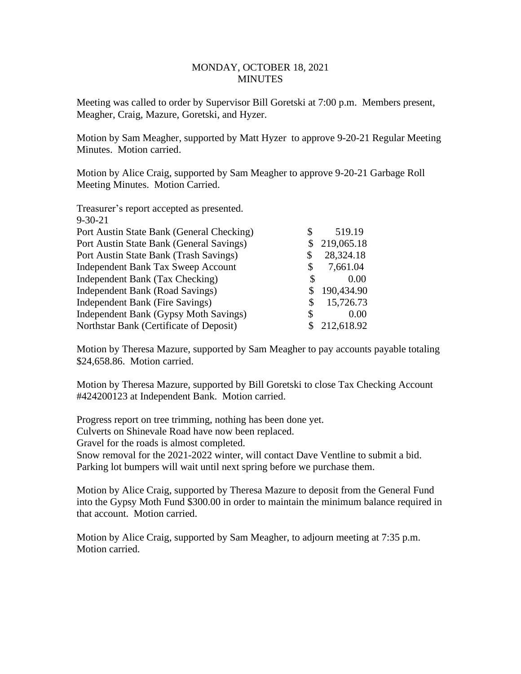## MONDAY, OCTOBER 18, 2021 **MINUTES**

Meeting was called to order by Supervisor Bill Goretski at 7:00 p.m. Members present, Meagher, Craig, Mazure, Goretski, and Hyzer.

Motion by Sam Meagher, supported by Matt Hyzer to approve 9-20-21 Regular Meeting Minutes. Motion carried.

Motion by Alice Craig, supported by Sam Meagher to approve 9-20-21 Garbage Roll Meeting Minutes. Motion Carried.

| Treasurer's report accepted as presented. |    |            |
|-------------------------------------------|----|------------|
| $9 - 30 - 21$                             |    |            |
| Port Austin State Bank (General Checking) | \$ | 519.19     |
| Port Austin State Bank (General Savings)  |    | 219,065.18 |
| Port Austin State Bank (Trash Savings)    | \$ | 28,324.18  |
| <b>Independent Bank Tax Sweep Account</b> | \$ | 7,661.04   |
| Independent Bank (Tax Checking)           | \$ | 0.00       |
| Independent Bank (Road Savings)           | \$ | 190,434.90 |
| Independent Bank (Fire Savings)           | S  | 15,726.73  |
| Independent Bank (Gypsy Moth Savings)     | \$ | 0.00       |
| Northstar Bank (Certificate of Deposit)   |    | 212,618.92 |

Motion by Theresa Mazure, supported by Sam Meagher to pay accounts payable totaling \$24,658.86. Motion carried.

Motion by Theresa Mazure, supported by Bill Goretski to close Tax Checking Account #424200123 at Independent Bank. Motion carried.

Progress report on tree trimming, nothing has been done yet. Culverts on Shinevale Road have now been replaced. Gravel for the roads is almost completed. Snow removal for the 2021-2022 winter, will contact Dave Ventline to submit a bid. Parking lot bumpers will wait until next spring before we purchase them.

Motion by Alice Craig, supported by Theresa Mazure to deposit from the General Fund into the Gypsy Moth Fund \$300.00 in order to maintain the minimum balance required in that account. Motion carried.

Motion by Alice Craig, supported by Sam Meagher, to adjourn meeting at 7:35 p.m. Motion carried.